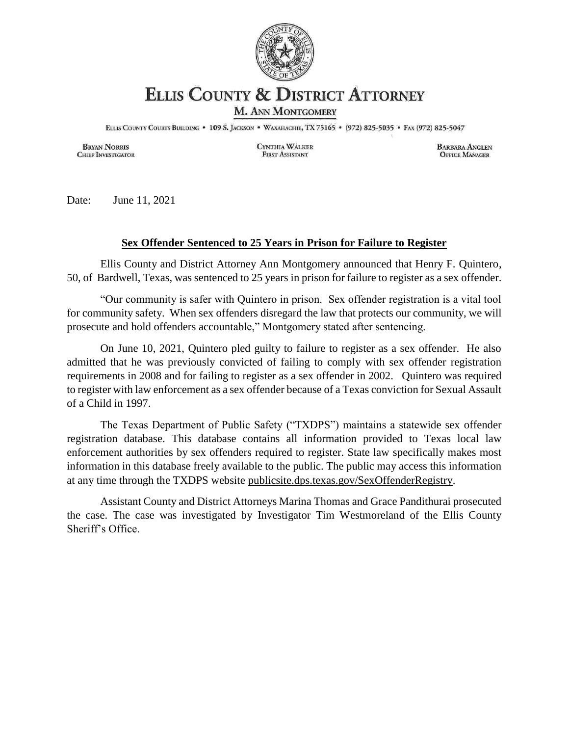

## **ELLIS COUNTY & DISTRICT ATTORNEY**

M. ANN MONTGOMERY

ELLIS COUNTY COURTS BUILDING . 109 S. JACKSON . WAXAHACHIE, TX 75165 . (972) 825-5035 . FAX (972) 825-5047

**BRYAN NORRIS CHIEF INVESTIGATOR**  CYNTHIA WALKER **FIRST ASSISTANT** 

**BARBARA ANGLEN OFFICE MANAGER** 

Date: June 11, 2021

## **Sex Offender Sentenced to 25 Years in Prison for Failure to Register**

Ellis County and District Attorney Ann Montgomery announced that Henry F. Quintero, 50, of Bardwell, Texas, was sentenced to 25 years in prison for failure to register as a sex offender.

"Our community is safer with Quintero in prison. Sex offender registration is a vital tool for community safety. When sex offenders disregard the law that protects our community, we will prosecute and hold offenders accountable," Montgomery stated after sentencing.

On June 10, 2021, Quintero pled guilty to failure to register as a sex offender. He also admitted that he was previously convicted of failing to comply with sex offender registration requirements in 2008 and for failing to register as a sex offender in 2002. Quintero was required to register with law enforcement as a sex offender because of a Texas conviction for Sexual Assault of a Child in 1997.

The Texas Department of Public Safety ("TXDPS") maintains a statewide sex offender registration database. This database contains all information provided to Texas local law enforcement authorities by sex offenders required to register. State law specifically makes most information in this database freely available to the public. The public may access this information at any time through the TXDPS website publicsite.dps.texas.gov/SexOffenderRegistry.

Assistant County and District Attorneys Marina Thomas and Grace Pandithurai prosecuted the case. The case was investigated by Investigator Tim Westmoreland of the Ellis County Sheriff's Office.